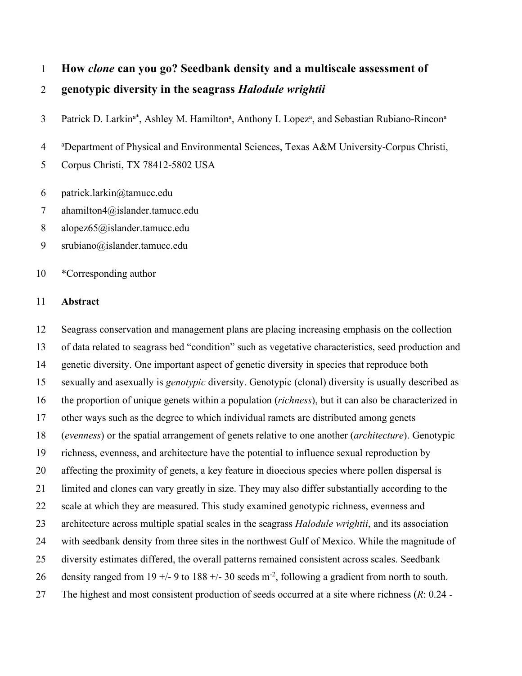# **How** *clone* **can you go? Seedbank density and a multiscale assessment of genotypic diversity in the seagrass** *Halodule wrightii*

3 Patrick D. Larkin<sup>a\*</sup>, Ashley M. Hamilton<sup>a</sup>, Anthony I. Lopez<sup>a</sup>, and Sebastian Rubiano-Rincon<sup>a</sup>

 $\overline{4}$ Department of Physical and Environmental Sciences, Texas A&M University-Corpus Christi,

Corpus Christi, TX 78412-5802 USA

- patrick.larkin@tamucc.edu
- ahamilton4@islander.tamucc.edu
- alopez65@islander.tamucc.edu
- srubiano@islander.tamucc.edu

## \*Corresponding author

# **Abstract**

 Seagrass conservation and management plans are placing increasing emphasis on the collection of data related to seagrass bed "condition" such as vegetative characteristics, seed production and genetic diversity. One important aspect of genetic diversity in species that reproduce both sexually and asexually is *genotypic* diversity. Genotypic (clonal) diversity is usually described as the proportion of unique genets within a population (*richness*), but it can also be characterized in other ways such as the degree to which individual ramets are distributed among genets (*evenness*) or the spatial arrangement of genets relative to one another (*architecture*). Genotypic richness, evenness, and architecture have the potential to influence sexual reproduction by affecting the proximity of genets, a key feature in dioecious species where pollen dispersal is limited and clones can vary greatly in size. They may also differ substantially according to the scale at which they are measured. This study examined genotypic richness, evenness and architecture across multiple spatial scales in the seagrass *Halodule wrightii*, and its association with seedbank density from three sites in the northwest Gulf of Mexico. While the magnitude of diversity estimates differed, the overall patterns remained consistent across scales. Seedbank 26 density ranged from 19 +/- 9 to 188 +/- 30 seeds  $m<sup>-2</sup>$ , following a gradient from north to south. The highest and most consistent production of seeds occurred at a site where richness (*R*: 0.24 -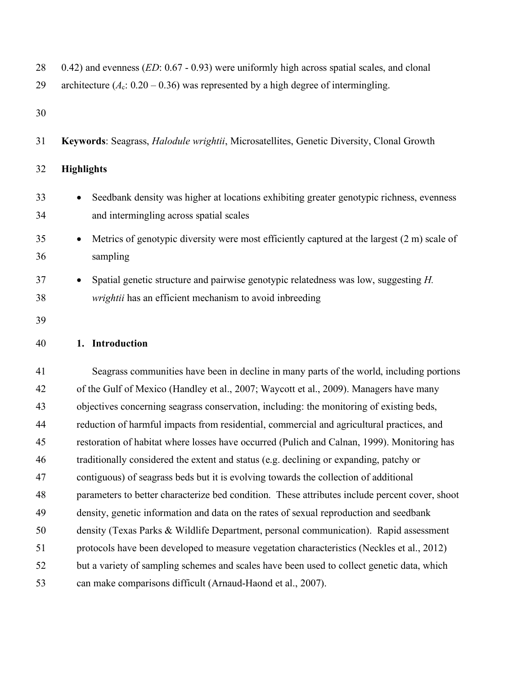| 28<br>29 | 0.42) and evenness ( $ED$ : 0.67 - 0.93) were uniformly high across spatial scales, and clonal<br>architecture ( $A_c$ : 0.20 – 0.36) was represented by a high degree of intermingling. |
|----------|------------------------------------------------------------------------------------------------------------------------------------------------------------------------------------------|
| 30       |                                                                                                                                                                                          |
| 31       | Keywords: Seagrass, Halodule wrightii, Microsatellites, Genetic Diversity, Clonal Growth                                                                                                 |
| 32       | <b>Highlights</b>                                                                                                                                                                        |
| 33<br>34 | Seedbank density was higher at locations exhibiting greater genotypic richness, evenness<br>and intermingling across spatial scales                                                      |
| 35<br>36 | Metrics of genotypic diversity were most efficiently captured at the largest (2 m) scale of<br>sampling                                                                                  |
| 37<br>38 | Spatial genetic structure and pairwise genotypic relatedness was low, suggesting H.<br>wrightii has an efficient mechanism to avoid inbreeding                                           |
| 39       |                                                                                                                                                                                          |
| 40       | 1. Introduction                                                                                                                                                                          |
| 41       | Seagrass communities have been in decline in many parts of the world, including portions                                                                                                 |
| 42       | of the Gulf of Mexico (Handley et al., 2007; Waycott et al., 2009). Managers have many                                                                                                   |
| 43       | objectives concerning seagrass conservation, including: the monitoring of existing beds,                                                                                                 |
| 44       | reduction of harmful impacts from residential, commercial and agricultural practices, and                                                                                                |
| 45       | restoration of habitat where losses have occurred (Pulich and Calnan, 1999). Monitoring has                                                                                              |
| 46       | traditionally considered the extent and status (e.g. declining or expanding, patchy or                                                                                                   |
| 47       | contiguous) of seagrass beds but it is evolving towards the collection of additional                                                                                                     |
| 48       | parameters to better characterize bed condition. These attributes include percent cover, shoot                                                                                           |
| 49       | density, genetic information and data on the rates of sexual reproduction and seedbank                                                                                                   |
| 50       | density (Texas Parks & Wildlife Department, personal communication). Rapid assessment                                                                                                    |
| 51       | protocols have been developed to measure vegetation characteristics (Neckles et al., 2012)                                                                                               |
| 52       | but a variety of sampling schemes and scales have been used to collect genetic data, which                                                                                               |
| 53       | can make comparisons difficult (Arnaud-Haond et al., 2007).                                                                                                                              |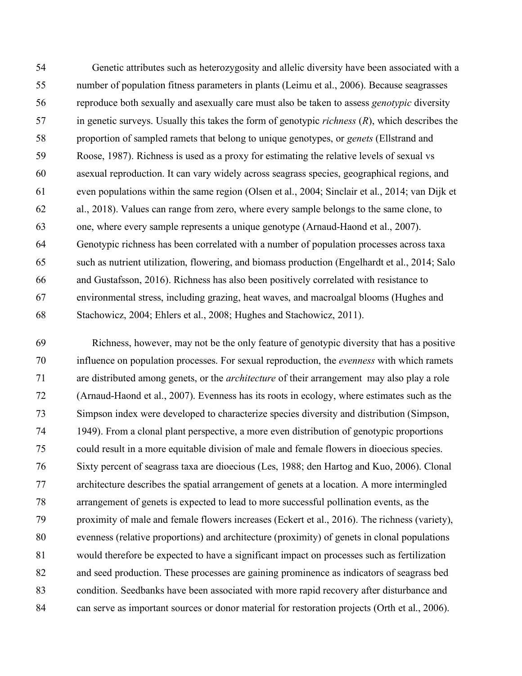Genetic attributes such as heterozygosity and allelic diversity have been associated with a number of population fitness parameters in plants (Leimu et al., 2006). Because seagrasses reproduce both sexually and asexually care must also be taken to assess *genotypic* diversity in genetic surveys. Usually this takes the form of genotypic *richness* (*R*), which describes the proportion of sampled ramets that belong to unique genotypes, or *genets* (Ellstrand and Roose, 1987). Richness is used as a proxy for estimating the relative levels of sexual vs asexual reproduction. It can vary widely across seagrass species, geographical regions, and even populations within the same region (Olsen et al., 2004; Sinclair et al., 2014; van Dijk et al., 2018). Values can range from zero, where every sample belongs to the same clone, to one, where every sample represents a unique genotype (Arnaud-Haond et al., 2007). Genotypic richness has been correlated with a number of population processes across taxa such as nutrient utilization, flowering, and biomass production (Engelhardt et al., 2014; Salo and Gustafsson, 2016). Richness has also been positively correlated with resistance to environmental stress, including grazing, heat waves, and macroalgal blooms (Hughes and Stachowicz, 2004; Ehlers et al., 2008; Hughes and Stachowicz, 2011).

 Richness, however, may not be the only feature of genotypic diversity that has a positive influence on population processes. For sexual reproduction, the *evenness* with which ramets are distributed among genets, or the *architecture* of their arrangement may also play a role (Arnaud-Haond et al., 2007). Evenness has its roots in ecology, where estimates such as the Simpson index were developed to characterize species diversity and distribution (Simpson, 1949). From a clonal plant perspective, a more even distribution of genotypic proportions could result in a more equitable division of male and female flowers in dioecious species. Sixty percent of seagrass taxa are dioecious (Les, 1988; den Hartog and Kuo, 2006). Clonal architecture describes the spatial arrangement of genets at a location. A more intermingled arrangement of genets is expected to lead to more successful pollination events, as the proximity of male and female flowers increases (Eckert et al., 2016). The richness (variety), evenness (relative proportions) and architecture (proximity) of genets in clonal populations would therefore be expected to have a significant impact on processes such as fertilization and seed production. These processes are gaining prominence as indicators of seagrass bed condition. Seedbanks have been associated with more rapid recovery after disturbance and can serve as important sources or donor material for restoration projects (Orth et al., 2006).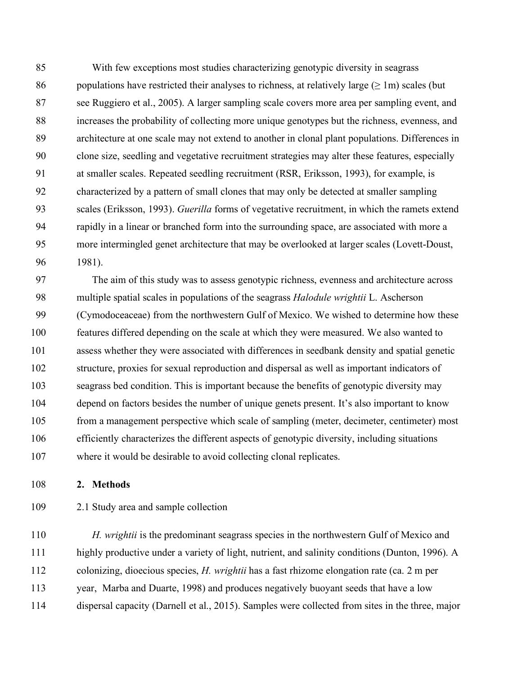With few exceptions most studies characterizing genotypic diversity in seagrass 86 populations have restricted their analyses to richness, at relatively large  $(> 1m)$  scales (but see Ruggiero et al., 2005). A larger sampling scale covers more area per sampling event, and increases the probability of collecting more unique genotypes but the richness, evenness, and architecture at one scale may not extend to another in clonal plant populations. Differences in clone size, seedling and vegetative recruitment strategies may alter these features, especially at smaller scales. Repeated seedling recruitment (RSR, Eriksson, 1993), for example, is characterized by a pattern of small clones that may only be detected at smaller sampling scales (Eriksson, 1993). *Guerilla* forms of vegetative recruitment, in which the ramets extend rapidly in a linear or branched form into the surrounding space, are associated with more a more intermingled genet architecture that may be overlooked at larger scales (Lovett-Doust, 1981).

 The aim of this study was to assess genotypic richness, evenness and architecture across multiple spatial scales in populations of the seagrass *Halodule wrightii* L. Ascherson (Cymodoceaceae) from the northwestern Gulf of Mexico. We wished to determine how these features differed depending on the scale at which they were measured. We also wanted to assess whether they were associated with differences in seedbank density and spatial genetic structure, proxies for sexual reproduction and dispersal as well as important indicators of seagrass bed condition. This is important because the benefits of genotypic diversity may depend on factors besides the number of unique genets present. It's also important to know from a management perspective which scale of sampling (meter, decimeter, centimeter) most efficiently characterizes the different aspects of genotypic diversity, including situations where it would be desirable to avoid collecting clonal replicates.

### **2. Methods**

2.1 Study area and sample collection

 *H. wrightii* is the predominant seagrass species in the northwestern Gulf of Mexico and highly productive under a variety of light, nutrient, and salinity conditions (Dunton, 1996). A colonizing, dioecious species, *H. wrightii* has a fast rhizome elongation rate (ca. 2 m per year, Marba and Duarte, 1998) and produces negatively buoyant seeds that have a low dispersal capacity (Darnell et al., 2015). Samples were collected from sites in the three, major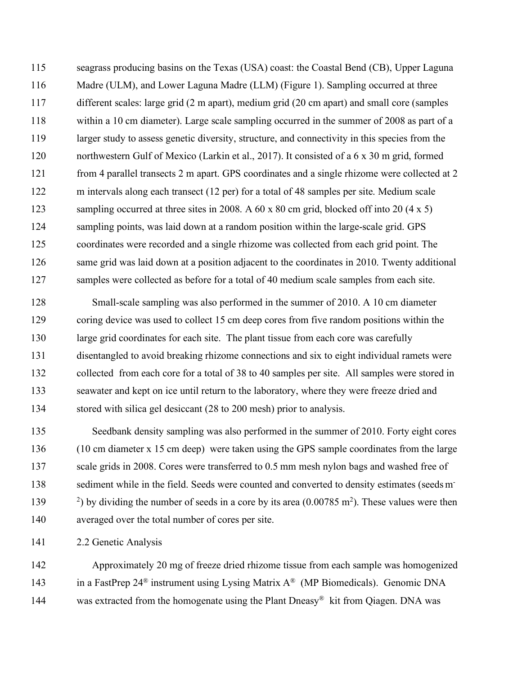seagrass producing basins on the Texas (USA) coast: the Coastal Bend (CB), Upper Laguna 116 Madre (ULM), and Lower Laguna Madre (LLM) (Figure 1). Sampling occurred at three different scales: large grid (2 m apart), medium grid (20 cm apart) and small core (samples within a 10 cm diameter). Large scale sampling occurred in the summer of 2008 as part of a larger study to assess genetic diversity, structure, and connectivity in this species from the northwestern Gulf of Mexico (Larkin et al., 2017). It consisted of a 6 x 30 m grid, formed from 4 parallel transects 2 m apart. GPS coordinates and a single rhizome were collected at 2 m intervals along each transect (12 per) for a total of 48 samples per site. Medium scale 123 sampling occurred at three sites in 2008. A 60 x 80 cm grid, blocked off into 20 (4 x 5) sampling points, was laid down at a random position within the large-scale grid. GPS coordinates were recorded and a single rhizome was collected from each grid point. The same grid was laid down at a position adjacent to the coordinates in 2010. Twenty additional 127 samples were collected as before for a total of 40 medium scale samples from each site.

 Small-scale sampling was also performed in the summer of 2010. A 10 cm diameter 129 coring device was used to collect 15 cm deep cores from five random positions within the large grid coordinates for each site. The plant tissue from each core was carefully disentangled to avoid breaking rhizome connections and six to eight individual ramets were collected from each core for a total of 38 to 40 samples per site. All samples were stored in seawater and kept on ice until return to the laboratory, where they were freeze dried and stored with silica gel desiccant (28 to 200 mesh) prior to analysis.

 Seedbank density sampling was also performed in the summer of 2010. Forty eight cores (10 cm diameter x 15 cm deep) were taken using the GPS sample coordinates from the large 137 scale grids in 2008. Cores were transferred to 0.5 mm mesh nylon bags and washed free of sediment while in the field. Seeds were counted and converted to density estimates (seedsm-  $\frac{2}{3}$  by dividing the number of seeds in a core by its area (0.00785 m<sup>2</sup>). These values were then averaged over the total number of cores per site.

2.2 Genetic Analysis

 Approximately 20 mg of freeze dried rhizome tissue from each sample was homogenized 143 in a FastPrep 24<sup>®</sup> instrument using Lysing Matrix  $A^{\otimes}$  (MP Biomedicals). Genomic DNA 144 was extracted from the homogenate using the Plant Dneasy<sup>®</sup> kit from Qiagen. DNA was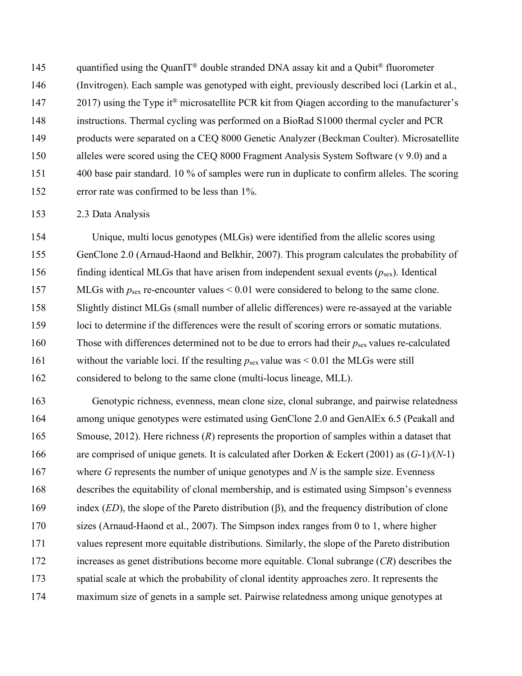145 quantified using the QuanIT<sup>®</sup> double stranded DNA assay kit and a Qubit<sup>®</sup> fluorometer (Invitrogen). Each sample was genotyped with eight, previously described loci (Larkin et al., 2017) using the Type it<sup>®</sup> microsatellite PCR kit from Qiagen according to the manufacturer's instructions. Thermal cycling was performed on a BioRad S1000 thermal cycler and PCR products were separated on a CEQ 8000 Genetic Analyzer (Beckman Coulter). Microsatellite alleles were scored using the CEQ 8000 Fragment Analysis System Software (v 9.0) and a 400 base pair standard. 10 % of samples were run in duplicate to confirm alleles. The scoring error rate was confirmed to be less than 1%.

2.3 Data Analysis

 Unique, multi locus genotypes (MLGs) were identified from the allelic scores using GenClone 2.0 (Arnaud-Haond and Belkhir, 2007). This program calculates the probability of 156 finding identical MLGs that have arisen from independent sexual events  $(p_{sex})$ . Identical 157 MLGs with  $p_{\text{sex}}$  re-encounter values < 0.01 were considered to belong to the same clone. Slightly distinct MLGs (small number of allelic differences) were re-assayed at the variable loci to determine if the differences were the result of scoring errors or somatic mutations. 160 Those with differences determined not to be due to errors had their  $p_{\text{sex}}$  values re-calculated 161 without the variable loci. If the resulting  $p_{\text{sex}}$  value was  $\leq 0.01$  the MLGs were still considered to belong to the same clone (multi-locus lineage, MLL).

 Genotypic richness, evenness, mean clone size, clonal subrange, and pairwise relatedness among unique genotypes were estimated using GenClone 2.0 and GenAlEx 6.5 (Peakall and 165 Smouse, 2012). Here richness (*R*) represents the proportion of samples within a dataset that are comprised of unique genets. It is calculated after Dorken & Eckert (2001) as (*G*-1)*/*(*N*-1) 167 where *G* represents the number of unique genotypes and *N* is the sample size. Evenness describes the equitability of clonal membership, and is estimated using Simpson's evenness 169 index *(ED*), the slope of the Pareto distribution ( $\beta$ ), and the frequency distribution of clone sizes (Arnaud-Haond et al., 2007). The Simpson index ranges from 0 to 1, where higher values represent more equitable distributions. Similarly, the slope of the Pareto distribution increases as genet distributions become more equitable. Clonal subrange (*CR*) describes the spatial scale at which the probability of clonal identity approaches zero. It represents the maximum size of genets in a sample set. Pairwise relatedness among unique genotypes at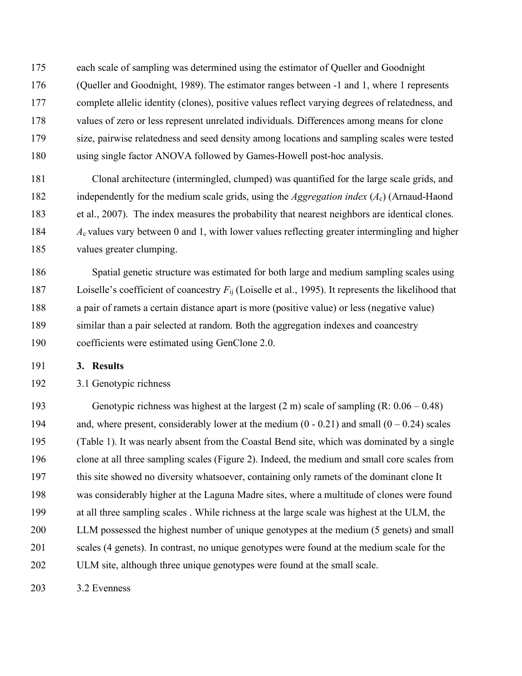each scale of sampling was determined using the estimator of Queller and Goodnight (Queller and Goodnight, 1989). The estimator ranges between -1 and 1, where 1 represents complete allelic identity (clones), positive values reflect varying degrees of relatedness, and values of zero or less represent unrelated individuals. Differences among means for clone size, pairwise relatedness and seed density among locations and sampling scales were tested using single factor ANOVA followed by Games-Howell post-hoc analysis.

 Clonal architecture (intermingled, clumped) was quantified for the large scale grids, and independently for the medium scale grids, using the *Aggregation index* (*A*c) (Arnaud-Haond et al., 2007). The index measures the probability that nearest neighbors are identical clones. *A*c values vary between 0 and 1, with lower values reflecting greater intermingling and higher values greater clumping.

 Spatial genetic structure was estimated for both large and medium sampling scales using Loiselle's coefficient of coancestry *F*ij (Loiselle et al., 1995). It represents the likelihood that a pair of ramets a certain distance apart is more (positive value) or less (negative value) similar than a pair selected at random. Both the aggregation indexes and coancestry coefficients were estimated using GenClone 2.0.

**3. Results**

3.1 Genotypic richness

 Genotypic richness was highest at the largest (2 m) scale of sampling (R: 0.06 – 0.48) 194 and, where present, considerably lower at the medium  $(0 - 0.21)$  and small  $(0 - 0.24)$  scales (Table 1). It was nearly absent from the Coastal Bend site, which was dominated by a single clone at all three sampling scales (Figure 2). Indeed, the medium and small core scales from this site showed no diversity whatsoever, containing only ramets of the dominant clone It was considerably higher at the Laguna Madre sites, where a multitude of clones were found at all three sampling scales . While richness at the large scale was highest at the ULM, the LLM possessed the highest number of unique genotypes at the medium (5 genets) and small scales (4 genets). In contrast, no unique genotypes were found at the medium scale for the ULM site, although three unique genotypes were found at the small scale.

3.2 Evenness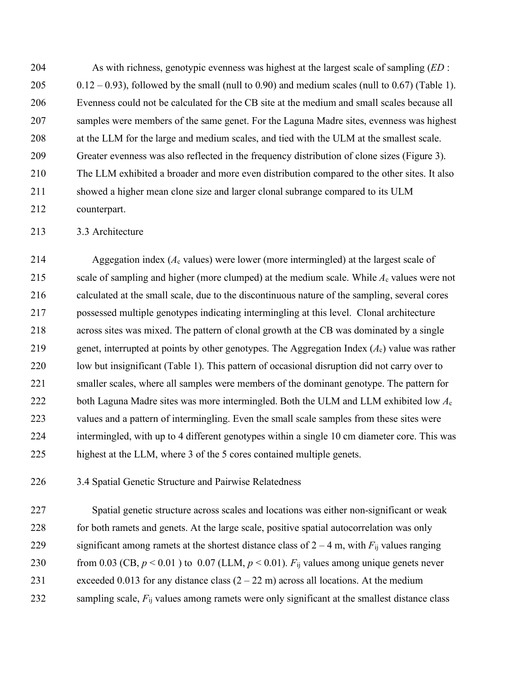As with richness, genotypic evenness was highest at the largest scale of sampling (*ED* : 0.12 – 0.93), followed by the small (null to 0.90) and medium scales (null to 0.67) (Table 1). Evenness could not be calculated for the CB site at the medium and small scales because all samples were members of the same genet. For the Laguna Madre sites, evenness was highest at the LLM for the large and medium scales, and tied with the ULM at the smallest scale. Greater evenness was also reflected in the frequency distribution of clone sizes (Figure 3). The LLM exhibited a broader and more even distribution compared to the other sites. It also showed a higher mean clone size and larger clonal subrange compared to its ULM counterpart.

213 3.3 Architecture

 Aggegation index (*A*<sup>c</sup> values) were lower (more intermingled) at the largest scale of 215 scale of sampling and higher (more clumped) at the medium scale. While  $A_c$  values were not calculated at the small scale, due to the discontinuous nature of the sampling, several cores possessed multiple genotypes indicating intermingling at this level. Clonal architecture across sites was mixed. The pattern of clonal growth at the CB was dominated by a single genet, interrupted at points by other genotypes. The Aggregation Index (*A*c) value was rather low but insignificant (Table 1). This pattern of occasional disruption did not carry over to smaller scales, where all samples were members of the dominant genotype. The pattern for both Laguna Madre sites was more intermingled. Both the ULM and LLM exhibited low *A*<sup>c</sup> values and a pattern of intermingling. Even the small scale samples from these sites were intermingled, with up to 4 different genotypes within a single 10 cm diameter core. This was highest at the LLM, where 3 of the 5 cores contained multiple genets.

3.4 Spatial Genetic Structure and Pairwise Relatedness

 Spatial genetic structure across scales and locations was either non-significant or weak for both ramets and genets. At the large scale, positive spatial autocorrelation was only 229 significant among ramets at the shortest distance class of  $2 - 4$  m, with  $F_{ii}$  values ranging 230 from 0.03 (CB,  $p < 0.01$ ) to 0.07 (LLM,  $p < 0.01$ ).  $F_{ij}$  values among unique genets never 231 exceeded 0.013 for any distance class  $(2 – 22 m)$  across all locations. At the medium 232 sampling scale, *F*<sub>ij</sub> values among ramets were only significant at the smallest distance class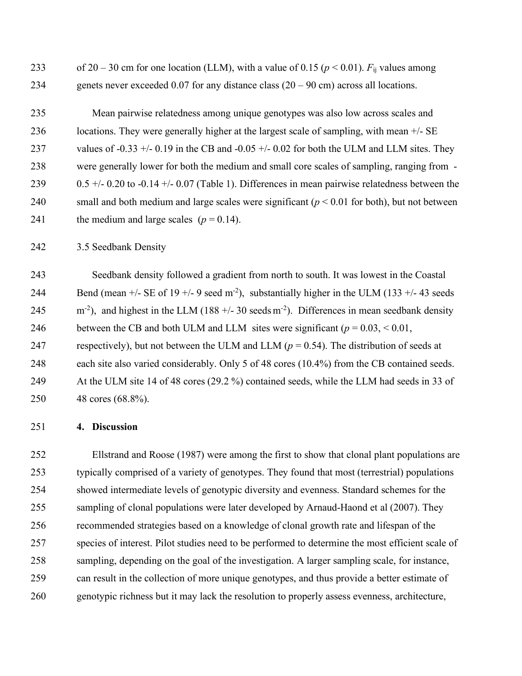233 of 20 – 30 cm for one location (LLM), with a value of 0.15 ( $p < 0.01$ ).  $F_{ij}$  values among genets never exceeded 0.07 for any distance class (20 – 90 cm) across all locations.

 Mean pairwise relatedness among unique genotypes was also low across scales and locations. They were generally higher at the largest scale of sampling, with mean +/- SE 237 values of -0.33 +/- 0.19 in the CB and -0.05 +/- 0.02 for both the ULM and LLM sites. They were generally lower for both the medium and small core scales of sampling, ranging from - 239 0.5 +/- 0.20 to -0.14 +/- 0.07 (Table 1). Differences in mean pairwise relatedness between the small and both medium and large scales were significant (*p* < 0.01 for both), but not between 241 the medium and large scales  $(p = 0.14)$ .

3.5 Seedbank Density

 Seedbank density followed a gradient from north to south. It was lowest in the Coastal 244 Bend (mean  $+/-$  SE of 19  $+/-$  9 seed m<sup>-2</sup>), substantially higher in the ULM (133  $+/-$  43 seeds  $\text{m}^{-2}$ ), and highest in the LLM (188 +/- 30 seeds m<sup>-2</sup>). Differences in mean seedbank density 246 between the CB and both ULM and LLM sites were significant  $(p = 0.03, \le 0.01,$ 247 respectively), but not between the ULM and LLM ( $p = 0.54$ ). The distribution of seeds at each site also varied considerably. Only 5 of 48 cores (10.4%) from the CB contained seeds. At the ULM site 14 of 48 cores (29.2 %) contained seeds, while the LLM had seeds in 33 of 48 cores (68.8%).

### **4. Discussion**

 Ellstrand and Roose (1987) were among the first to show that clonal plant populations are typically comprised of a variety of genotypes. They found that most (terrestrial) populations showed intermediate levels of genotypic diversity and evenness. Standard schemes for the sampling of clonal populations were later developed by Arnaud-Haond et al (2007). They recommended strategies based on a knowledge of clonal growth rate and lifespan of the species of interest. Pilot studies need to be performed to determine the most efficient scale of sampling, depending on the goal of the investigation. A larger sampling scale, for instance, can result in the collection of more unique genotypes, and thus provide a better estimate of genotypic richness but it may lack the resolution to properly assess evenness, architecture,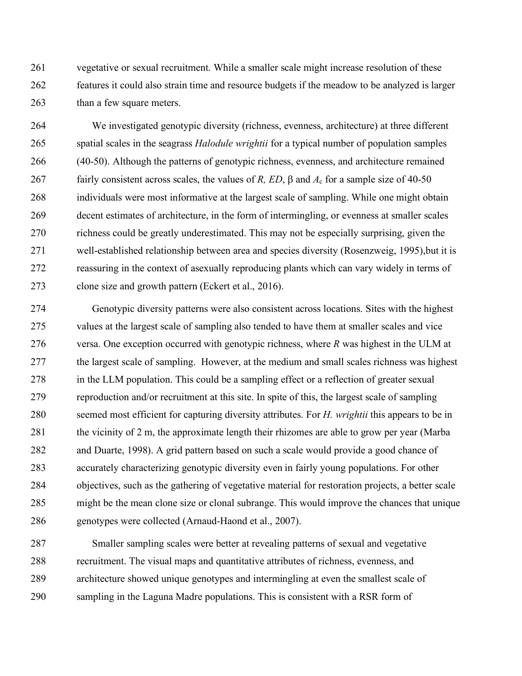vegetative or sexual recruitment. While a smaller scale might increase resolution of these features it could also strain time and resource budgets if the meadow to be analyzed is larger than a few square meters.

 We investigated genotypic diversity (richness, evenness, architecture) at three different spatial scales in the seagrass *Halodule wrightii* for a typical number of population samples (40-50). Although the patterns of genotypic richness, evenness, and architecture remained fairly consistent across scales, the values of *R, ED*, b and *A*<sup>c</sup> for a sample size of 40-50 individuals were most informative at the largest scale of sampling. While one might obtain decent estimates of architecture, in the form of intermingling, or evenness at smaller scales richness could be greatly underestimated. This may not be especially surprising, given the well-established relationship between area and species diversity (Rosenzweig, 1995),but it is reassuring in the context of asexually reproducing plants which can vary widely in terms of clone size and growth pattern (Eckert et al., 2016).

 Genotypic diversity patterns were also consistent across locations. Sites with the highest values at the largest scale of sampling also tended to have them at smaller scales and vice versa. One exception occurred with genotypic richness, where *R* was highest in the ULM at the largest scale of sampling. However, at the medium and small scales richness was highest in the LLM population. This could be a sampling effect or a reflection of greater sexual reproduction and/or recruitment at this site. In spite of this, the largest scale of sampling seemed most efficient for capturing diversity attributes. For *H. wrightii* this appears to be in the vicinity of 2 m, the approximate length their rhizomes are able to grow per year (Marba and Duarte, 1998). A grid pattern based on such a scale would provide a good chance of accurately characterizing genotypic diversity even in fairly young populations. For other objectives, such as the gathering of vegetative material for restoration projects, a better scale might be the mean clone size or clonal subrange. This would improve the chances that unique genotypes were collected (Arnaud-Haond et al., 2007).

 Smaller sampling scales were better at revealing patterns of sexual and vegetative recruitment. The visual maps and quantitative attributes of richness, evenness, and architecture showed unique genotypes and intermingling at even the smallest scale of sampling in the Laguna Madre populations. This is consistent with a RSR form of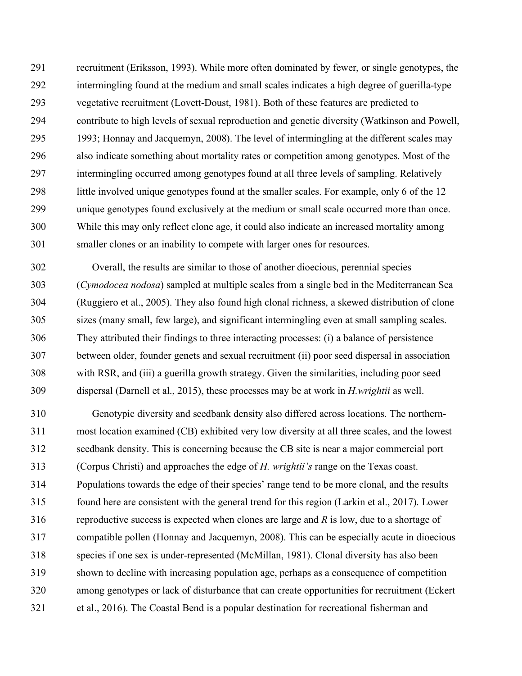recruitment (Eriksson, 1993). While more often dominated by fewer, or single genotypes, the intermingling found at the medium and small scales indicates a high degree of guerilla-type vegetative recruitment (Lovett-Doust, 1981). Both of these features are predicted to contribute to high levels of sexual reproduction and genetic diversity (Watkinson and Powell, 1993; Honnay and Jacquemyn, 2008). The level of intermingling at the different scales may also indicate something about mortality rates or competition among genotypes. Most of the intermingling occurred among genotypes found at all three levels of sampling. Relatively little involved unique genotypes found at the smaller scales. For example, only 6 of the 12 unique genotypes found exclusively at the medium or small scale occurred more than once. While this may only reflect clone age, it could also indicate an increased mortality among smaller clones or an inability to compete with larger ones for resources.

 Overall, the results are similar to those of another dioecious, perennial species (*Cymodocea nodosa*) sampled at multiple scales from a single bed in the Mediterranean Sea (Ruggiero et al., 2005). They also found high clonal richness, a skewed distribution of clone sizes (many small, few large), and significant intermingling even at small sampling scales. They attributed their findings to three interacting processes: (i) a balance of persistence between older, founder genets and sexual recruitment (ii) poor seed dispersal in association with RSR, and (iii) a guerilla growth strategy. Given the similarities, including poor seed dispersal (Darnell et al., 2015), these processes may be at work in *H.wrightii* as well.

 Genotypic diversity and seedbank density also differed across locations. The northern- most location examined (CB) exhibited very low diversity at all three scales, and the lowest seedbank density. This is concerning because the CB site is near a major commercial port (Corpus Christi) and approaches the edge of *H. wrightii's* range on the Texas coast. Populations towards the edge of their species' range tend to be more clonal, and the results found here are consistent with the general trend for this region (Larkin et al., 2017). Lower reproductive success is expected when clones are large and *R* is low, due to a shortage of compatible pollen (Honnay and Jacquemyn, 2008). This can be especially acute in dioecious species if one sex is under-represented (McMillan, 1981). Clonal diversity has also been shown to decline with increasing population age, perhaps as a consequence of competition among genotypes or lack of disturbance that can create opportunities for recruitment (Eckert et al., 2016). The Coastal Bend is a popular destination for recreational fisherman and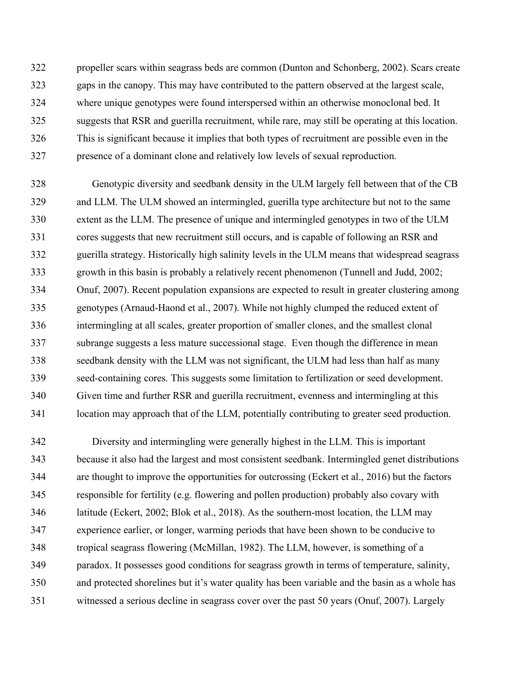propeller scars within seagrass beds are common (Dunton and Schonberg, 2002). Scars create gaps in the canopy. This may have contributed to the pattern observed at the largest scale, where unique genotypes were found interspersed within an otherwise monoclonal bed. It suggests that RSR and guerilla recruitment, while rare, may still be operating at this location. This is significant because it implies that both types of recruitment are possible even in the presence of a dominant clone and relatively low levels of sexual reproduction.

 Genotypic diversity and seedbank density in the ULM largely fell between that of the CB and LLM. The ULM showed an intermingled, guerilla type architecture but not to the same extent as the LLM. The presence of unique and intermingled genotypes in two of the ULM cores suggests that new recruitment still occurs, and is capable of following an RSR and guerilla strategy. Historically high salinity levels in the ULM means that widespread seagrass growth in this basin is probably a relatively recent phenomenon (Tunnell and Judd, 2002; Onuf, 2007). Recent population expansions are expected to result in greater clustering among genotypes (Arnaud-Haond et al., 2007). While not highly clumped the reduced extent of intermingling at all scales, greater proportion of smaller clones, and the smallest clonal subrange suggests a less mature successional stage. Even though the difference in mean seedbank density with the LLM was not significant, the ULM had less than half as many seed-containing cores. This suggests some limitation to fertilization or seed development. Given time and further RSR and guerilla recruitment, evenness and intermingling at this location may approach that of the LLM, potentially contributing to greater seed production.

 Diversity and intermingling were generally highest in the LLM. This is important because it also had the largest and most consistent seedbank. Intermingled genet distributions are thought to improve the opportunities for outcrossing (Eckert et al., 2016) but the factors responsible for fertility (e.g. flowering and pollen production) probably also covary with latitude (Eckert, 2002; Blok et al., 2018). As the southern-most location, the LLM may experience earlier, or longer, warming periods that have been shown to be conducive to tropical seagrass flowering (McMillan, 1982). The LLM, however, is something of a paradox. It possesses good conditions for seagrass growth in terms of temperature, salinity, and protected shorelines but it's water quality has been variable and the basin as a whole has witnessed a serious decline in seagrass cover over the past 50 years (Onuf, 2007). Largely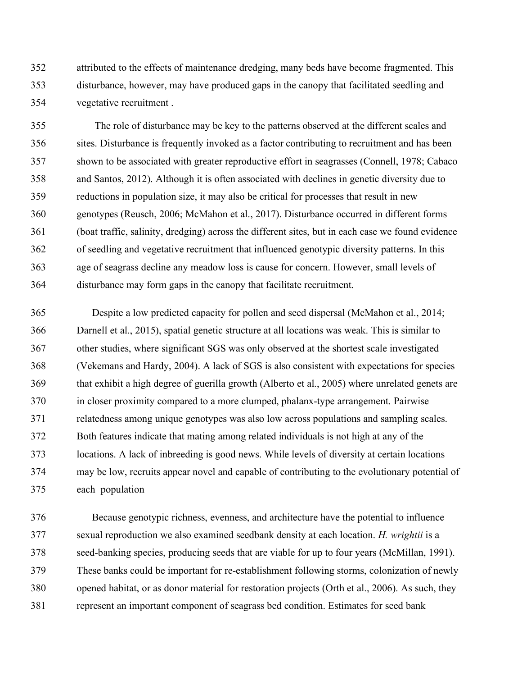attributed to the effects of maintenance dredging, many beds have become fragmented. This disturbance, however, may have produced gaps in the canopy that facilitated seedling and vegetative recruitment .

 The role of disturbance may be key to the patterns observed at the different scales and sites. Disturbance is frequently invoked as a factor contributing to recruitment and has been shown to be associated with greater reproductive effort in seagrasses (Connell, 1978; Cabaco and Santos, 2012). Although it is often associated with declines in genetic diversity due to reductions in population size, it may also be critical for processes that result in new genotypes (Reusch, 2006; McMahon et al., 2017). Disturbance occurred in different forms (boat traffic, salinity, dredging) across the different sites, but in each case we found evidence of seedling and vegetative recruitment that influenced genotypic diversity patterns. In this age of seagrass decline any meadow loss is cause for concern. However, small levels of disturbance may form gaps in the canopy that facilitate recruitment.

 Despite a low predicted capacity for pollen and seed dispersal (McMahon et al., 2014; Darnell et al., 2015), spatial genetic structure at all locations was weak. This is similar to other studies, where significant SGS was only observed at the shortest scale investigated (Vekemans and Hardy, 2004). A lack of SGS is also consistent with expectations for species that exhibit a high degree of guerilla growth (Alberto et al., 2005) where unrelated genets are in closer proximity compared to a more clumped, phalanx-type arrangement. Pairwise relatedness among unique genotypes was also low across populations and sampling scales. Both features indicate that mating among related individuals is not high at any of the locations. A lack of inbreeding is good news. While levels of diversity at certain locations may be low, recruits appear novel and capable of contributing to the evolutionary potential of each population

 Because genotypic richness, evenness, and architecture have the potential to influence sexual reproduction we also examined seedbank density at each location. *H. wrightii* is a seed-banking species, producing seeds that are viable for up to four years (McMillan, 1991). These banks could be important for re-establishment following storms, colonization of newly opened habitat, or as donor material for restoration projects (Orth et al., 2006). As such, they represent an important component of seagrass bed condition. Estimates for seed bank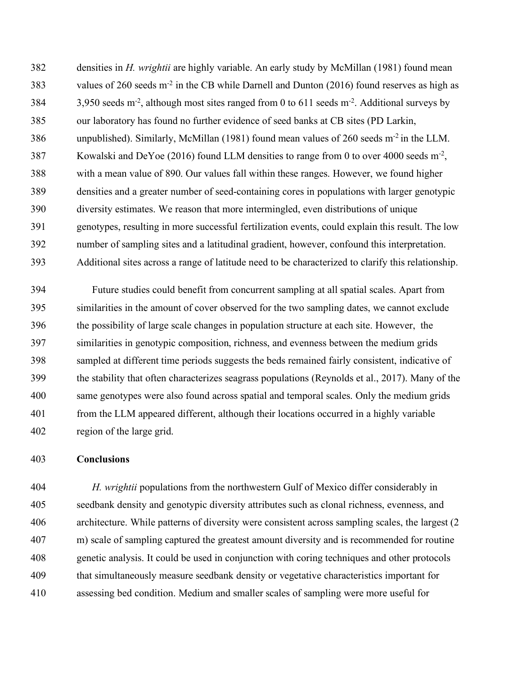densities in *H. wrightii* are highly variable. An early study by McMillan (1981) found mean 383 values of 260 seeds  $m<sup>2</sup>$  in the CB while Darnell and Dunton (2016) found reserves as high as 3,950 seeds m<sup>-2</sup>, although most sites ranged from 0 to 611 seeds m<sup>-2</sup>. Additional surveys by our laboratory has found no further evidence of seed banks at CB sites (PD Larkin, 386 unpublished). Similarly, McMillan  $(1981)$  found mean values of 260 seeds m<sup>-2</sup> in the LLM. 387 Kowalski and DeYoe (2016) found LLM densities to range from 0 to over 4000 seeds  $m<sup>2</sup>$ , with a mean value of 890. Our values fall within these ranges. However, we found higher densities and a greater number of seed-containing cores in populations with larger genotypic diversity estimates. We reason that more intermingled, even distributions of unique genotypes, resulting in more successful fertilization events, could explain this result. The low number of sampling sites and a latitudinal gradient, however, confound this interpretation. Additional sites across a range of latitude need to be characterized to clarify this relationship.

 Future studies could benefit from concurrent sampling at all spatial scales. Apart from similarities in the amount of cover observed for the two sampling dates, we cannot exclude the possibility of large scale changes in population structure at each site. However, the similarities in genotypic composition, richness, and evenness between the medium grids sampled at different time periods suggests the beds remained fairly consistent, indicative of the stability that often characterizes seagrass populations (Reynolds et al., 2017). Many of the same genotypes were also found across spatial and temporal scales. Only the medium grids from the LLM appeared different, although their locations occurred in a highly variable region of the large grid.

### **Conclusions**

 *H. wrightii* populations from the northwestern Gulf of Mexico differ considerably in seedbank density and genotypic diversity attributes such as clonal richness, evenness, and architecture. While patterns of diversity were consistent across sampling scales, the largest (2 m) scale of sampling captured the greatest amount diversity and is recommended for routine genetic analysis. It could be used in conjunction with coring techniques and other protocols that simultaneously measure seedbank density or vegetative characteristics important for assessing bed condition. Medium and smaller scales of sampling were more useful for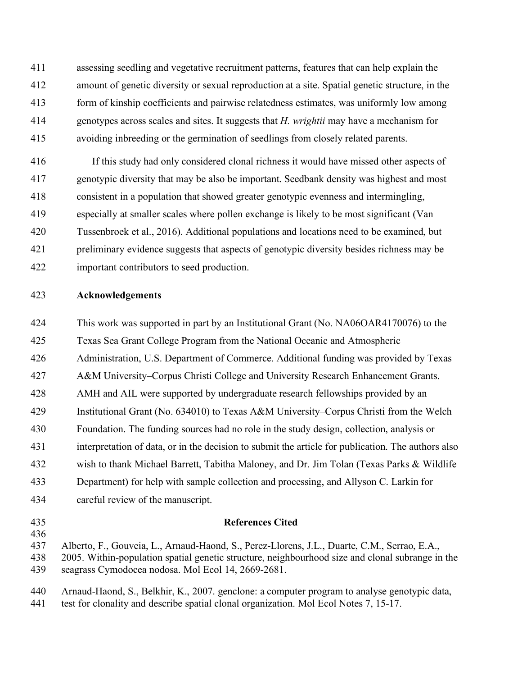assessing seedling and vegetative recruitment patterns, features that can help explain the amount of genetic diversity or sexual reproduction at a site. Spatial genetic structure, in the form of kinship coefficients and pairwise relatedness estimates, was uniformly low among genotypes across scales and sites. It suggests that *H. wrightii* may have a mechanism for avoiding inbreeding or the germination of seedlings from closely related parents.

 If this study had only considered clonal richness it would have missed other aspects of genotypic diversity that may be also be important. Seedbank density was highest and most consistent in a population that showed greater genotypic evenness and intermingling, especially at smaller scales where pollen exchange is likely to be most significant (Van Tussenbroek et al., 2016). Additional populations and locations need to be examined, but preliminary evidence suggests that aspects of genotypic diversity besides richness may be important contributors to seed production.

### **Acknowledgements**

This work was supported in part by an Institutional Grant (No. NA06OAR4170076) to the

Texas Sea Grant College Program from the National Oceanic and Atmospheric

Administration, U.S. Department of Commerce. Additional funding was provided by Texas

A&M University–Corpus Christi College and University Research Enhancement Grants.

AMH and AIL were supported by undergraduate research fellowships provided by an

Institutional Grant (No. 634010) to Texas A&M University–Corpus Christi from the Welch

Foundation. The funding sources had no role in the study design, collection, analysis or

interpretation of data, or in the decision to submit the article for publication. The authors also

- wish to thank Michael Barrett, Tabitha Maloney, and Dr. Jim Tolan (Texas Parks & Wildlife
- Department) for help with sample collection and processing, and Allyson C. Larkin for
- careful review of the manuscript.
- 

### **References Cited**

Alberto, F., Gouveia, L., Arnaud-Haond, S., Perez-Llorens, J.L., Duarte, C.M., Serrao, E.A.,

 2005. Within-population spatial genetic structure, neighbourhood size and clonal subrange in the seagrass Cymodocea nodosa. Mol Ecol 14, 2669-2681.

- Arnaud-Haond, S., Belkhir, K., 2007. genclone: a computer program to analyse genotypic data,
- test for clonality and describe spatial clonal organization. Mol Ecol Notes 7, 15-17.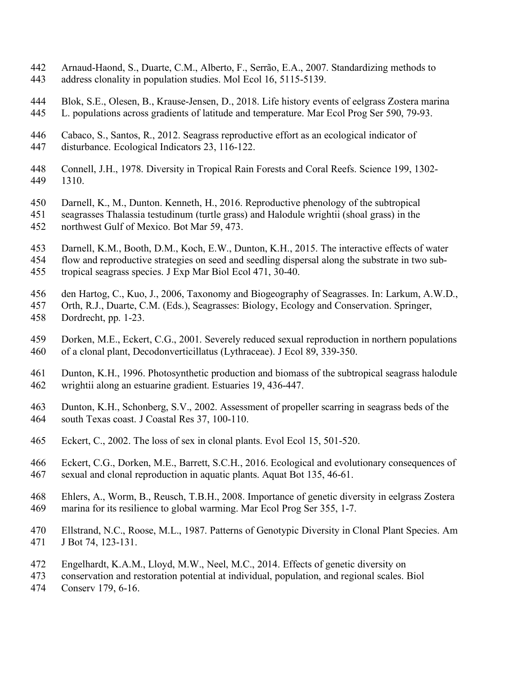- Arnaud-Haond, S., Duarte, C.M., Alberto, F., Serrão, E.A., 2007. Standardizing methods to address clonality in population studies. Mol Ecol 16, 5115-5139.
- Blok, S.E., Olesen, B., Krause-Jensen, D., 2018. Life history events of eelgrass Zostera marina L. populations across gradients of latitude and temperature. Mar Ecol Prog Ser 590, 79-93.
- Cabaco, S., Santos, R., 2012. Seagrass reproductive effort as an ecological indicator of disturbance. Ecological Indicators 23, 116-122.
- Connell, J.H., 1978. Diversity in Tropical Rain Forests and Coral Reefs. Science 199, 1302- 1310.
- Darnell, K., M., Dunton. Kenneth, H., 2016. Reproductive phenology of the subtropical
- seagrasses Thalassia testudinum (turtle grass) and Halodule wrightii (shoal grass) in the northwest Gulf of Mexico. Bot Mar 59, 473.
- 
- Darnell, K.M., Booth, D.M., Koch, E.W., Dunton, K.H., 2015. The interactive effects of water
- flow and reproductive strategies on seed and seedling dispersal along the substrate in two sub-
- tropical seagrass species. J Exp Mar Biol Ecol 471, 30-40.
- den Hartog, C., Kuo, J., 2006, Taxonomy and Biogeography of Seagrasses. In: Larkum, A.W.D.,
- Orth, R.J., Duarte, C.M. (Eds.), Seagrasses: Biology, Ecology and Conservation. Springer, Dordrecht, pp. 1-23.
- Dorken, M.E., Eckert, C.G., 2001. Severely reduced sexual reproduction in northern populations of a clonal plant, Decodonverticillatus (Lythraceae). J Ecol 89, 339-350.
- Dunton, K.H., 1996. Photosynthetic production and biomass of the subtropical seagrass halodule wrightii along an estuarine gradient. Estuaries 19, 436-447.
- Dunton, K.H., Schonberg, S.V., 2002. Assessment of propeller scarring in seagrass beds of the south Texas coast. J Coastal Res 37, 100-110.
- Eckert, C., 2002. The loss of sex in clonal plants. Evol Ecol 15, 501-520.
- Eckert, C.G., Dorken, M.E., Barrett, S.C.H., 2016. Ecological and evolutionary consequences of sexual and clonal reproduction in aquatic plants. Aquat Bot 135, 46-61.
- Ehlers, A., Worm, B., Reusch, T.B.H., 2008. Importance of genetic diversity in eelgrass Zostera marina for its resilience to global warming. Mar Ecol Prog Ser 355, 1-7.
- Ellstrand, N.C., Roose, M.L., 1987. Patterns of Genotypic Diversity in Clonal Plant Species. Am J Bot 74, 123-131.
- Engelhardt, K.A.M., Lloyd, M.W., Neel, M.C., 2014. Effects of genetic diversity on
- conservation and restoration potential at individual, population, and regional scales. Biol
- Conserv 179, 6-16.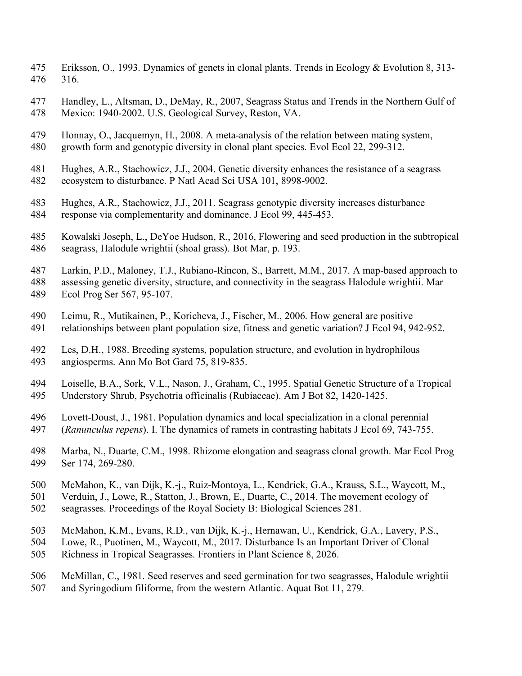- Eriksson, O., 1993. Dynamics of genets in clonal plants. Trends in Ecology & Evolution 8, 313- 316.
- Handley, L., Altsman, D., DeMay, R., 2007, Seagrass Status and Trends in the Northern Gulf of Mexico: 1940-2002. U.S. Geological Survey, Reston, VA.

 Honnay, O., Jacquemyn, H., 2008. A meta-analysis of the relation between mating system, growth form and genotypic diversity in clonal plant species. Evol Ecol 22, 299-312.

- Hughes, A.R., Stachowicz, J.J., 2004. Genetic diversity enhances the resistance of a seagrass ecosystem to disturbance. P Natl Acad Sci USA 101, 8998-9002.
- Hughes, A.R., Stachowicz, J.J., 2011. Seagrass genotypic diversity increases disturbance response via complementarity and dominance. J Ecol 99, 445-453.
- Kowalski Joseph, L., DeYoe Hudson, R., 2016, Flowering and seed production in the subtropical seagrass, Halodule wrightii (shoal grass). Bot Mar, p. 193.
- Larkin, P.D., Maloney, T.J., Rubiano-Rincon, S., Barrett, M.M., 2017. A map-based approach to
- assessing genetic diversity, structure, and connectivity in the seagrass Halodule wrightii. Mar
- Ecol Prog Ser 567, 95-107.
- Leimu, R., Mutikainen, P., Koricheva, J., Fischer, M., 2006. How general are positive relationships between plant population size, fitness and genetic variation? J Ecol 94, 942-952.
- Les, D.H., 1988. Breeding systems, population structure, and evolution in hydrophilous angiosperms. Ann Mo Bot Gard 75, 819-835.
- Loiselle, B.A., Sork, V.L., Nason, J., Graham, C., 1995. Spatial Genetic Structure of a Tropical Understory Shrub, Psychotria officinalis (Rubiaceae). Am J Bot 82, 1420-1425.
- Lovett-Doust, J., 1981. Population dynamics and local specialization in a clonal perennial (*Ranunculus repens*). I. The dynamics of ramets in contrasting habitats J Ecol 69, 743-755.
- Marba, N., Duarte, C.M., 1998. Rhizome elongation and seagrass clonal growth. Mar Ecol Prog Ser 174, 269-280.
- McMahon, K., van Dijk, K.-j., Ruiz-Montoya, L., Kendrick, G.A., Krauss, S.L., Waycott, M.,
- Verduin, J., Lowe, R., Statton, J., Brown, E., Duarte, C., 2014. The movement ecology of
- seagrasses. Proceedings of the Royal Society B: Biological Sciences 281.
- McMahon, K.M., Evans, R.D., van Dijk, K.-j., Hernawan, U., Kendrick, G.A., Lavery, P.S.,
- Lowe, R., Puotinen, M., Waycott, M., 2017. Disturbance Is an Important Driver of Clonal
- Richness in Tropical Seagrasses. Frontiers in Plant Science 8, 2026.
- McMillan, C., 1981. Seed reserves and seed germination for two seagrasses, Halodule wrightii and Syringodium filiforme, from the western Atlantic. Aquat Bot 11, 279.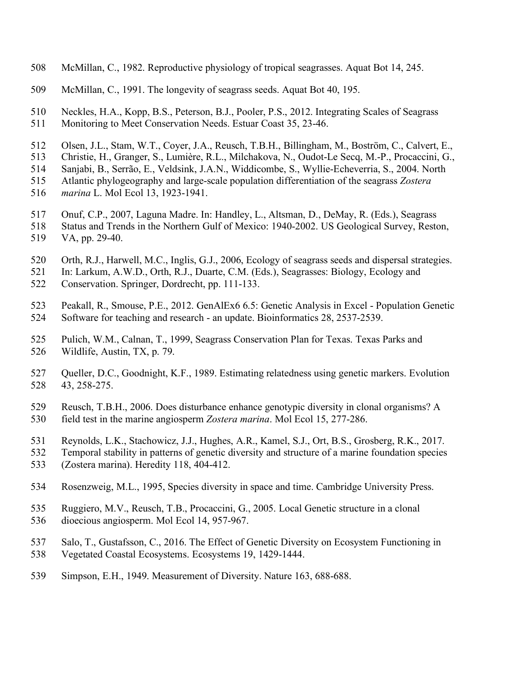- McMillan, C., 1982. Reproductive physiology of tropical seagrasses. Aquat Bot 14, 245.
- McMillan, C., 1991. The longevity of seagrass seeds. Aquat Bot 40, 195.

Neckles, H.A., Kopp, B.S., Peterson, B.J., Pooler, P.S., 2012. Integrating Scales of Seagrass

- Monitoring to Meet Conservation Needs. Estuar Coast 35, 23-46.
- Olsen, J.L., Stam, W.T., Coyer, J.A., Reusch, T.B.H., Billingham, M., Boström, C., Calvert, E.,
- Christie, H., Granger, S., Lumière, R.L., Milchakova, N., Oudot-Le Secq, M.-P., Procaccini, G.,
- Sanjabi, B., Serrão, E., Veldsink, J.A.N., Widdicombe, S., Wyllie-Echeverria, S., 2004. North
- Atlantic phylogeography and large-scale population differentiation of the seagrass *Zostera*
- *marina* L. Mol Ecol 13, 1923-1941.
- Onuf, C.P., 2007, Laguna Madre. In: Handley, L., Altsman, D., DeMay, R. (Eds.), Seagrass
- Status and Trends in the Northern Gulf of Mexico: 1940-2002. US Geological Survey, Reston, VA, pp. 29-40.
- 
- Orth, R.J., Harwell, M.C., Inglis, G.J., 2006, Ecology of seagrass seeds and dispersal strategies.
- In: Larkum, A.W.D., Orth, R.J., Duarte, C.M. (Eds.), Seagrasses: Biology, Ecology and Conservation. Springer, Dordrecht, pp. 111-133.
- Peakall, R., Smouse, P.E., 2012. GenAlEx6 6.5: Genetic Analysis in Excel Population Genetic Software for teaching and research - an update. Bioinformatics 28, 2537-2539.
- Pulich, W.M., Calnan, T., 1999, Seagrass Conservation Plan for Texas. Texas Parks and Wildlife, Austin, TX, p. 79.
- Queller, D.C., Goodnight, K.F., 1989. Estimating relatedness using genetic markers. Evolution 43, 258-275.
- Reusch, T.B.H., 2006. Does disturbance enhance genotypic diversity in clonal organisms? A field test in the marine angiosperm *Zostera marina*. Mol Ecol 15, 277-286.
- Reynolds, L.K., Stachowicz, J.J., Hughes, A.R., Kamel, S.J., Ort, B.S., Grosberg, R.K., 2017.
- Temporal stability in patterns of genetic diversity and structure of a marine foundation species
- (Zostera marina). Heredity 118, 404-412.
- Rosenzweig, M.L., 1995, Species diversity in space and time. Cambridge University Press.
- Ruggiero, M.V., Reusch, T.B., Procaccini, G., 2005. Local Genetic structure in a clonal dioecious angiosperm. Mol Ecol 14, 957-967.
- Salo, T., Gustafsson, C., 2016. The Effect of Genetic Diversity on Ecosystem Functioning in Vegetated Coastal Ecosystems. Ecosystems 19, 1429-1444.
- Simpson, E.H., 1949. Measurement of Diversity. Nature 163, 688-688.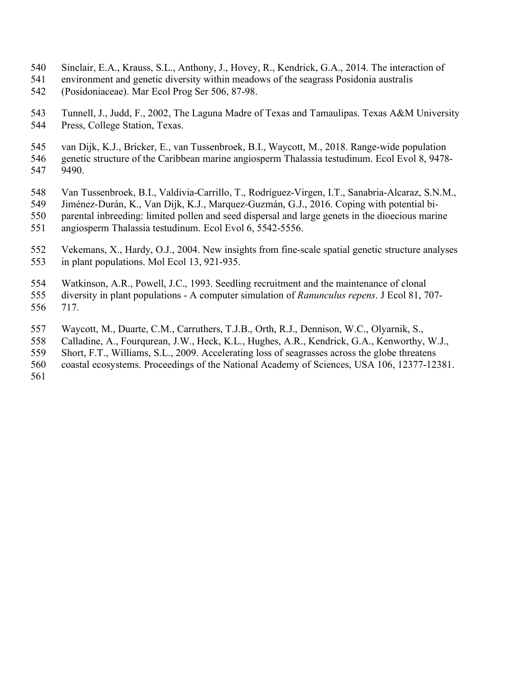- Sinclair, E.A., Krauss, S.L., Anthony, J., Hovey, R., Kendrick, G.A., 2014. The interaction of
- environment and genetic diversity within meadows of the seagrass Posidonia australis
- (Posidoniaceae). Mar Ecol Prog Ser 506, 87-98.
- Tunnell, J., Judd, F., 2002, The Laguna Madre of Texas and Tamaulipas. Texas A&M University Press, College Station, Texas.
- van Dijk, K.J., Bricker, E., van Tussenbroek, B.I., Waycott, M., 2018. Range-wide population genetic structure of the Caribbean marine angiosperm Thalassia testudinum. Ecol Evol 8, 9478- 9490.
- Van Tussenbroek, B.I., Valdivia-Carrillo, T., Rodríguez-Virgen, I.T., Sanabria-Alcaraz, S.N.M.,
- Jiménez-Durán, K., Van Dijk, K.J., Marquez-Guzmán, G.J., 2016. Coping with potential bi-
- parental inbreeding: limited pollen and seed dispersal and large genets in the dioecious marine
- angiosperm Thalassia testudinum. Ecol Evol 6, 5542-5556.
- Vekemans, X., Hardy, O.J., 2004. New insights from fine-scale spatial genetic structure analyses in plant populations. Mol Ecol 13, 921-935.
- Watkinson, A.R., Powell, J.C., 1993. Seedling recruitment and the maintenance of clonal diversity in plant populations - A computer simulation of *Ranunculus repens*. J Ecol 81, 707- 717.
- Waycott, M., Duarte, C.M., Carruthers, T.J.B., Orth, R.J., Dennison, W.C., Olyarnik, S.,
- Calladine, A., Fourqurean, J.W., Heck, K.L., Hughes, A.R., Kendrick, G.A., Kenworthy, W.J.,
- Short, F.T., Williams, S.L., 2009. Accelerating loss of seagrasses across the globe threatens
- coastal ecosystems. Proceedings of the National Academy of Sciences, USA 106, 12377-12381.
-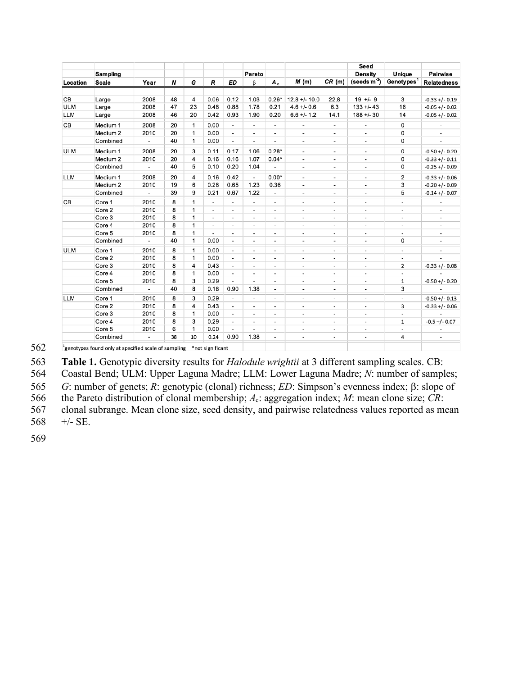|            | <b>Sampling</b><br><b>Scale</b> | Year                         | N  | G            | $\boldsymbol{R}$         | <b>ED</b>                | Pareto<br>ß              | $A_c$                    | M(m)                     | CR(m)                        | Seed<br><b>Density</b><br>(seeds $m2$ ) | Unique<br>Genotypes $1$  | <b>Pairwise</b><br><b>Relatedness</b> |
|------------|---------------------------------|------------------------------|----|--------------|--------------------------|--------------------------|--------------------------|--------------------------|--------------------------|------------------------------|-----------------------------------------|--------------------------|---------------------------------------|
| Location   |                                 |                              |    |              |                          |                          |                          |                          |                          |                              |                                         |                          |                                       |
|            |                                 |                              |    |              |                          |                          |                          |                          |                          |                              |                                         |                          |                                       |
| CВ         | Large                           | 2008                         | 48 | 4            | 0.06                     | 0.12                     | 1.03                     | $0.26*$                  | $12.8 + - 10.0$          | 22.8                         | $19 + -9$                               | 3                        | $-0.33 + (-0.19)$                     |
| <b>ULM</b> | Large                           | 2008                         | 47 | 23           | 0.48                     | 0.88                     | 1.78                     | 0.21                     | $4.6 + - 0.6$            | 6.3                          | $133 + 43$                              | 16                       | $-0.05 + (-0.02)$                     |
| <b>LLM</b> | Large                           | 2008                         | 46 | 20           | 0.42                     | 0.93                     | 1.90                     | 0.20                     | $6.6 +/- 1.2$            | 14.1                         | $188 + 30$                              | 14                       | $-0.05 + (-0.02)$                     |
| CB         | Medium 1                        | 2008                         | 20 | $\mathbf{1}$ | 0.00                     | ÷.                       | $\overline{a}$           | $\overline{\phantom{a}}$ | $\overline{\phantom{a}}$ | $\overline{\phantom{a}}$     | $\overline{\phantom{a}}$                | 0                        |                                       |
|            | Medium <sub>2</sub>             | 2010                         | 20 | $\mathbf{1}$ | 0.00                     | ÷,                       | $\overline{a}$           | $\overline{\phantom{a}}$ | $\overline{a}$           | $\overline{\phantom{a}}$     | ۰                                       | 0                        |                                       |
|            | Combined                        | $\overline{\phantom{a}}$     | 40 | 1            | 0.00                     | $\blacksquare$           | $\overline{a}$           | $\overline{\phantom{a}}$ | $\overline{\phantom{a}}$ | $\overline{a}$               | $\overline{a}$                          | 0                        |                                       |
| <b>ULM</b> | Medium 1                        | 2008                         | 20 | 3            | 0.11                     | 0.17                     | 1.06                     | $0.28*$                  | $\overline{\phantom{a}}$ | $\overline{\phantom{a}}$     | $\overline{\phantom{a}}$                | 0                        | $-0.50 + (-0.20)$                     |
|            | Medium <sub>2</sub>             | 2010                         | 20 | 4            | 0.16                     | 0.16                     | 1.07                     | $0.04*$                  | $\overline{a}$           | $\qquad \qquad \blacksquare$ | $\blacksquare$                          | 0                        | $-0.33 + (-0.11)$                     |
|            | Combined                        | $\qquad \qquad \blacksquare$ | 40 | 5            | 0.10                     | 0.20                     | 1.04                     |                          | $\overline{\phantom{a}}$ | $\overline{\phantom{a}}$     | $\overline{\phantom{a}}$                | 0                        | $-0.25 + (-0.09)$                     |
| <b>LLM</b> | Medium 1                        | 2008                         | 20 | 4            | 0.16                     | 0.42                     | $\overline{\phantom{a}}$ | $0.00*$                  | $\overline{\phantom{a}}$ | $\overline{\phantom{a}}$     | $\overline{\phantom{a}}$                | 2                        | $-0.33 + (-0.06)$                     |
|            | Medium <sub>2</sub>             | 2010                         | 19 | 6            | 0.28                     | 0.65                     | 1.23                     | 0.36                     | $\overline{a}$           | $\blacksquare$               | $\blacksquare$                          | 3                        | $-0.20 + (-0.09)$                     |
|            | Combined                        | $\overline{\phantom{a}}$     | 39 | 9            | 0.21                     | 0.67                     | 1.22                     | $\overline{\phantom{a}}$ | $\overline{\phantom{a}}$ | $\overline{\phantom{a}}$     | $\overline{\phantom{a}}$                | 5                        | $-0.14 + (-0.07)$                     |
| CB         | Core 1                          | 2010                         | 8  | 1            | $\overline{\phantom{a}}$ | ä,                       | $\overline{\phantom{a}}$ | $\overline{\phantom{a}}$ | $\overline{a}$           | $\overline{\phantom{a}}$     | $\blacksquare$                          | $\blacksquare$           | ٠                                     |
|            | Core 2                          | 2010                         | 8  | 1            | $\overline{\phantom{a}}$ | ä,                       | $\overline{\phantom{a}}$ | $\overline{\phantom{a}}$ | $\overline{\phantom{a}}$ | $\overline{\phantom{a}}$     | $\overline{a}$                          | $\overline{\phantom{a}}$ | $\frac{1}{2}$                         |
|            | Core 3                          | 2010                         | 8  | 1            | ٠                        |                          | $\overline{a}$           | $\overline{\phantom{a}}$ | $\overline{a}$           | $\overline{a}$               | ٠                                       | $\overline{\phantom{a}}$ | $\overline{a}$                        |
|            | Core 4                          | 2010                         | 8  | 1            | ÷,                       | ä,                       | ٠                        | $\overline{\phantom{a}}$ | $\overline{\phantom{a}}$ | $\overline{\phantom{a}}$     | $\overline{\phantom{a}}$                | $\overline{\phantom{a}}$ | $\frac{1}{2}$                         |
|            | Core 5                          | 2010                         | 8  | 1            |                          |                          |                          | $\blacksquare$           | $\blacksquare$           | $\overline{a}$               | ä,                                      | $\overline{\phantom{a}}$ | $\overline{a}$                        |
|            | Combined                        | $\overline{\phantom{a}}$     | 40 | 1            | 0.00                     | $\blacksquare$           | $\blacksquare$           | $\overline{\phantom{a}}$ | $\overline{\phantom{a}}$ | $\overline{\phantom{a}}$     | $\blacksquare$                          | 0                        | $\overline{\phantom{a}}$              |
| <b>ULM</b> | Core 1                          | 2010                         | 8  | 1            | 0.00                     | $\overline{\phantom{a}}$ | $\overline{\phantom{a}}$ | $\overline{a}$           | ÷                        | $\overline{a}$               | ä,                                      | $\overline{\phantom{a}}$ | ÷,                                    |
|            | Core 2                          | 2010                         | 8  | $\mathbf{1}$ | 0.00                     | $\overline{a}$           | $\overline{\phantom{a}}$ | $\overline{\phantom{a}}$ | $\overline{a}$           | $\overline{a}$               | ÷.                                      | $\blacksquare$           |                                       |
|            | Core 3                          | 2010                         | 8  | 4            | 0.43                     | ä,                       | ÷                        | $\frac{1}{2}$            | ÷,                       | ÷,                           | ä,                                      | 2                        | $-0.33 + (-0.08)$                     |
|            | Core 4                          | 2010                         | 8  | $\mathbf{1}$ | 0.00                     | $\overline{a}$           | $\overline{a}$           | $\overline{\phantom{a}}$ | $\overline{a}$           | $\overline{\phantom{a}}$     | ٠                                       | $\blacksquare$           |                                       |
|            | Core 5                          | 2010                         | 8  | 3            | 0.29                     | ÷,                       | $\overline{\phantom{a}}$ | $\overline{\phantom{a}}$ | ٠                        | $\overline{\phantom{a}}$     | $\overline{\phantom{a}}$                | $\mathbf 1$              | $-0.50 + (-0.20)$                     |
|            | Combined                        | $\blacksquare$               | 40 | 8            | 0.18                     | 0.90                     | 1.38                     | $\overline{\phantom{a}}$ | $\overline{\phantom{a}}$ | $\blacksquare$               | $\blacksquare$                          | 3                        |                                       |
| <b>LLM</b> | Core 1                          | 2010                         | 8  | 3            | 0.29                     | $\blacksquare$           | $\overline{\phantom{a}}$ | $\overline{\phantom{a}}$ | $\overline{\phantom{a}}$ | $\overline{\phantom{a}}$     | $\overline{\phantom{a}}$                | $\overline{\phantom{a}}$ | $-0.50 + (-0.13)$                     |
|            | Core 2                          | 2010                         | 8  | 4            | 0.43                     | $\blacksquare$           | $\blacksquare$           | $\blacksquare$           | $\blacksquare$           | $\blacksquare$               | $\overline{\phantom{a}}$                | 3                        | $-0.33 + (-0.06)$                     |
|            | Core 3                          | 2010                         | 8  | 1            | 0.00                     | $\blacksquare$           | $\overline{\phantom{a}}$ | $\overline{\phantom{a}}$ | $\overline{\phantom{a}}$ | $\overline{\phantom{a}}$     | $\sim$                                  | $\overline{a}$           |                                       |
|            | Core 4                          | 2010                         | 8  | 3            | 0.29                     | $\frac{1}{2}$            | $\blacksquare$           | $\blacksquare$           | $\overline{a}$           | $\overline{\phantom{a}}$     | ٠                                       | 1                        | $-0.5 + (-0.07)$                      |
|            | Core 5                          | 2010                         | 6  | 1            | 0.00                     | ÷,                       | ٠                        | $\overline{\phantom{a}}$ | $\overline{\phantom{a}}$ | $\overline{\phantom{a}}$     | ÷,                                      |                          |                                       |
|            | Combined                        |                              | 38 | 10           | 0.24                     | 0.90                     | 1.38                     | $\overline{\phantom{a}}$ |                          | $\overline{\phantom{a}}$     |                                         | 4                        |                                       |

**Table 1.** Genotypic diversity results for *Halodule wrightii* at 3 different sampling scales. CB:

Coastal Bend; ULM: Upper Laguna Madre; LLM: Lower Laguna Madre; *N*: number of samples;

565 *G*: number of genets; *R*: genotypic (clonal) richness; *ED*: Simpson's evenness index;  $\beta$ : slope of

566 the Pareto distribution of clonal membership; *A<sub>c</sub>*: aggregation index; *M*: mean clone size; *CR*: clonal subrange. Mean clone size, seed density, and pairwise relatedness values reported as m

 clonal subrange. Mean clone size, seed density, and pairwise relatedness values reported as mean 568  $+/-$  SE.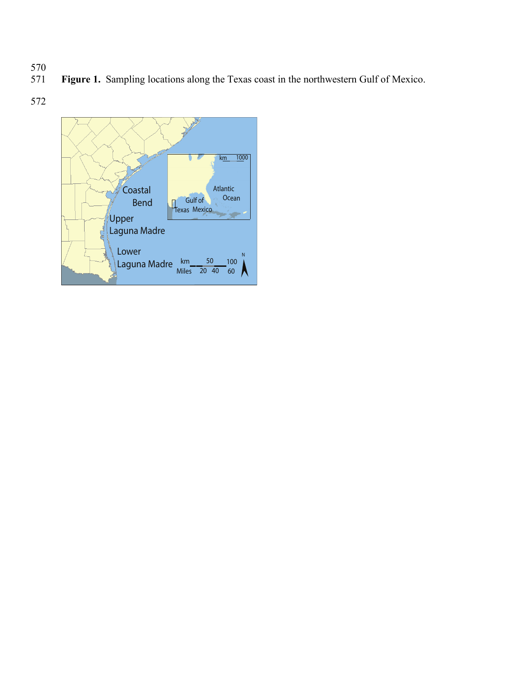- 570<br>571
	- Figure 1. Sampling locations along the Texas coast in the northwestern Gulf of Mexico.
- 572

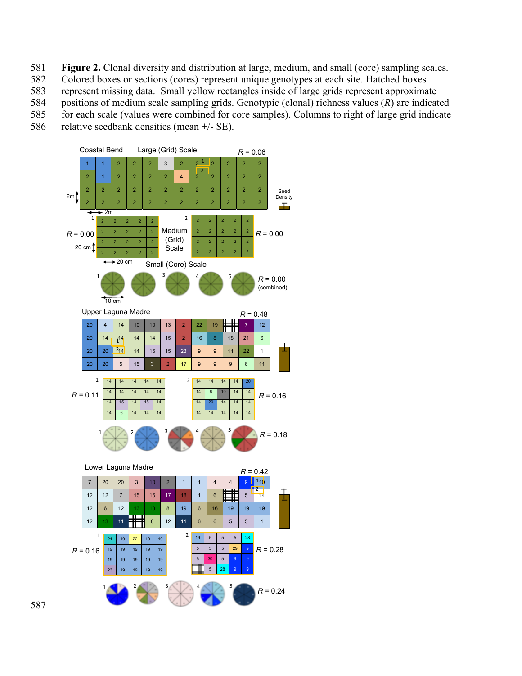- **Figure 2.** Clonal diversity and distribution at large, medium, and small (core) sampling scales.
- Colored boxes or sections (cores) represent unique genotypes at each site. Hatched boxes
- represent missing data. Small yellow rectangles inside of large grids represent approximate
- positions of medium scale sampling grids. Genotypic (clonal) richness values (*R*) are indicated
- for each scale (values were combined for core samples). Columns to right of large grid indicate
- 586 relative seedbank densities (mean  $+/-$  SE).